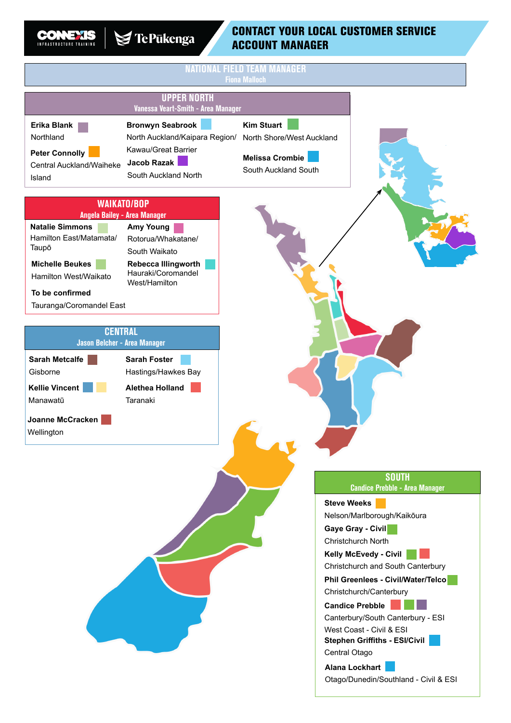

I

## CONTACT YOUR LOCAL CUSTOMER SERVICE ACCOUNT MANAGER

|                                                                                                                                                                                |                                                                                                                                                                                    | NAL FIELD TEAM MANAGER<br><b>Fiona Malloch</b>                                                   |                                                                                                                                                                                                                                                                                                                                                                                                                                                                                                                   |
|--------------------------------------------------------------------------------------------------------------------------------------------------------------------------------|------------------------------------------------------------------------------------------------------------------------------------------------------------------------------------|--------------------------------------------------------------------------------------------------|-------------------------------------------------------------------------------------------------------------------------------------------------------------------------------------------------------------------------------------------------------------------------------------------------------------------------------------------------------------------------------------------------------------------------------------------------------------------------------------------------------------------|
|                                                                                                                                                                                | <b>UPPER NORTH</b><br>Vanessa Veart-Smith - Area Manager                                                                                                                           |                                                                                                  |                                                                                                                                                                                                                                                                                                                                                                                                                                                                                                                   |
| Erika Blank<br>Northland<br><b>Peter Connolly</b><br>Central Auckland/Waiheke<br>Island                                                                                        | <b>Bronwyn Seabrook</b><br>North Auckland/Kaipara Region/<br>Kawau/Great Barrier<br>Jacob Razak<br>South Auckland North                                                            | <b>Kim Stuart</b><br>North Shore/West Auckland<br><b>Melissa Crombie</b><br>South Auckland South |                                                                                                                                                                                                                                                                                                                                                                                                                                                                                                                   |
| <b>Natalie Simmons</b><br>Hamilton East/Matamata/<br>Taupō<br><b>Michelle Beukes</b><br>Hamilton West/Waikato<br>To be confirmed<br>Tauranga/Coromandel East<br><b>CENTRAL</b> | <b>WAIKATO/BOP</b><br>Angela Bailey - Area Manager<br><b>Amy Young</b><br>Rotorua/Whakatane/<br>South Waikato<br><b>Rebecca Illingworth</b><br>Hauraki/Coromandel<br>West/Hamilton |                                                                                                  |                                                                                                                                                                                                                                                                                                                                                                                                                                                                                                                   |
| Jason Belcher - Area Manager<br><b>Sarah Metcalfe</b><br>Gisborne<br><b>Kellie Vincent</b><br>Manawatū<br>Joanne McCracken<br>Wellington                                       | <b>Sarah Foster</b><br>Hastings/Hawkes Bay<br><b>Alethea Holland</b><br>Taranaki                                                                                                   |                                                                                                  |                                                                                                                                                                                                                                                                                                                                                                                                                                                                                                                   |
|                                                                                                                                                                                |                                                                                                                                                                                    |                                                                                                  | <b>SOUTH</b><br><b>Candice Prebble - Area Manager</b><br><b>Steve Weeks</b><br>Nelson/Marlborough/Kaikōura<br>Gaye Gray - Civil<br>Christchurch North<br><b>Kelly McEvedy - Civil</b><br>Christchurch and South Canterbury<br>Phil Greenlees - Civil/Water/Telco<br>Christchurch/Canterbury<br><b>Candice Prebble</b><br>Canterbury/South Canterbury - ESI<br>West Coast - Civil & ESI<br><b>Stephen Griffiths - ESI/Civil</b><br>Central Otago<br><b>Alana Lockhart</b><br>Otago/Dunedin/Southland - Civil & ESI |